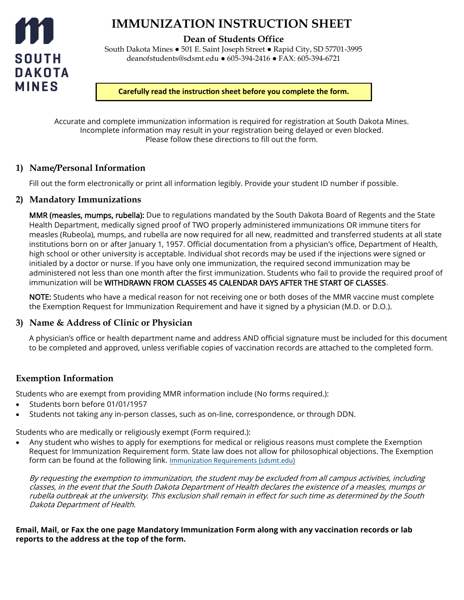

# **IMMUNIZATION INSTRUCTION SHEET**

**Dean of Students Office**

South Dakota Mines ● 501 E. Saint Joseph Street ● Rapid City, SD 57701-3995 deanofstudents@sdsmt.edu ● 605-394-2416 ● FAX: 605-394-6721

**Carefully read the instruction sheet before you complete the form.**

Accurate and complete immunization information is required for registration at South Dakota Mines. Incomplete information may result in your registration being delayed or even blocked. Please follow these directions to fill out the form.

### **1) Name/Personal Information**

Fill out the form electronically or print all information legibly. Provide your student ID number if possible.

### **2) Mandatory Immunizations**

**MMR (measles, mumps, rubella):** Due to regulations mandated by the South Dakota Board of Regents and the State Health Department, medically signed proof of TWO properly administered immunizations OR immune titers for measles (Rubeola), mumps, and rubella are now required for all new, readmitted and transferred students at all state institutions born on or after January 1, 1957. Official documentation from a physician's office, Department of Health, high school or other university is acceptable. Individual shot records may be used if the injections were signed or initialed by a doctor or nurse. If you have only one immunization, the required second immunization may be administered not less than one month after the first immunization. Students who fail to provide the required proof of immunization will be WITHDRAWN FROM CLASSES 45 CALENDAR DAYS AFTER THE START OF CLASSES.

NOTE: Students who have a medical reason for not receiving one or both doses of the MMR vaccine must complete the Exemption Request for Immunization Requirement and have it signed by a physician (M.D. or D.O.).

### **3) Name & Address of Clinic or Physician**

A physician's office or health department name and address AND official signature must be included for this document to be completed and approved, unless verifiable copies of vaccination records are attached to the completed form.

## **Exemption Information**

Students who are exempt from providing MMR information include (No forms required.):

- Students born before 01/01/1957
- Students not taking any in-person classes, such as on-line, correspondence, or through DDN.

Students who are medically or religiously exempt (Form required.):

• Any student who wishes to apply for exemptions for medical or religious reasons must complete the Exemption Request for Immunization Requirement form. State law does not allow for philosophical objections. The Exemption form can be found at the following link. [Immunization Requirements \(sdsmt.edu\)](https://www.sdsmt.edu/Campus-Life/Student-Health-and-Safety/Health/Immunization-Requirements/)

By requesting the exemption to immunization, the student may be excluded from all campus activities, including classes, in the event that the South Dakota Department of Health declares the existence of a measles, mumps or rubella outbreak at the university. This exclusion shall remain in effect for such time as determined by the South Dakota Department of Health.

**Email, Mail, or Fax the one page Mandatory Immunization Form along with any vaccination records or lab reports to the address at the top of the form.**